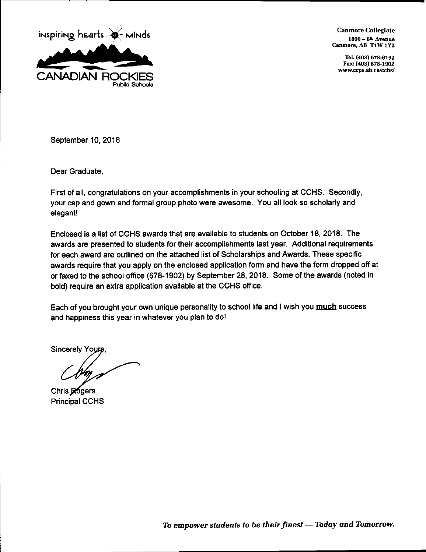

**Canmore Collegiate** 1800 - 8<sup>th</sup> Avenue Canmore, AB T1W 1Y2

> Tel: (403) 678-6192 Fax: (403) 678-1902 www.crps.ab.ca/cchs/

September 10, 2018

Dear Graduate.

First of all, congratulations on your accomplishments in your schooling at CCHS. Secondly, your cap and gown and formal group photo were awesome. You all look so scholarly and elegant!

Enclosed is a list of CCHS awards that are available to students on October 18, 2018. The awards are presented to students for their accomplishments last year. Additional requirements for each award are outlined on the attached list of Scholarships and Awards. These specific awards require that you apply on the enclosed application form and have the form dropped off at or faxed to the school office (678-1902) by September 28, 2018. Some of the awards (noted in bold) require an extra application available at the CCHS office.

Each of you brought your own unique personality to school life and I wish you much success and happiness this year in whatever you plan to do!

**Sincerely Yours** 

Chris Rogers **Principal CCHS**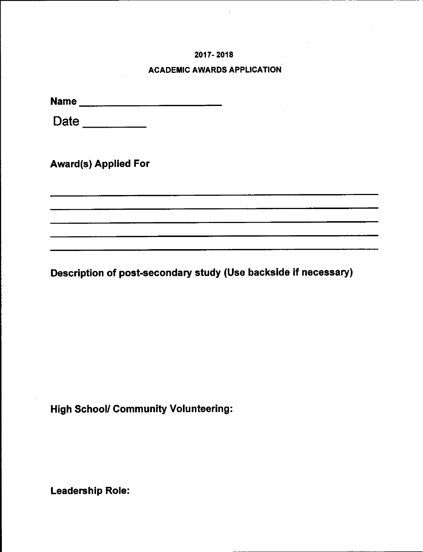#### 2017-2018

#### **ACADEMIC AWARDS APPLICATION**

Date <u>Date</u>

**Award(s) Applied For** 

Description of post-secondary study (Use backside if necessary)

<u> 1980 - Jan Barnett, mars et al. (</u>

**High School/ Community Volunteering:** 

**Leadership Role:**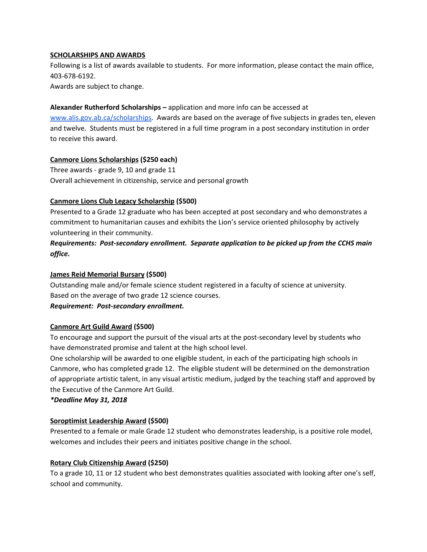#### **SCHOLARSHIPS AND AWARDS**

Following is a list of awards available to students. For more information, please contact the main office, 403-678-6192.

Awards are subject to change.

#### **Alexander Rutherford Scholarships –** application and more info can be accessed a[t](http://www.alis.gov.ab.ca/scholarships)

[www.alis.gov.ab.ca/scholarships.](http://www.alis.gov.ab.ca/scholarships) Awards are based on the average of five subjects in grades ten, eleven and twelve. Students must be registered in a full time program in a post secondary institution in order to receive this award.

## **Canmore Lions Scholarships (\$250 each)**

Three awards - grade 9, 10 and grade 11 Overall achievement in citizenship, service and personal growth

#### **Canmore Lions Club Legacy Scholarship (\$500)**

Presented to a Grade 12 graduate who has been accepted at post secondary and who demonstrates a commitment to humanitarian causes and exhibits the Lion's service oriented philosophy by actively volunteering in their community.

*Requirements: Post-secondary enrollment. Separate application to be picked up from the CCHS main office.*

#### **James Reid Memorial Bursary (\$500)**

Outstanding male and/or female science student registered in a faculty of science at university. Based on the average of two grade 12 science courses.

#### *Requirement: Post-secondary enrollment.*

#### **Canmore Art Guild Award (\$500)**

To encourage and support the pursuit of the visual arts at the post-secondary level by students who have demonstrated promise and talent at the high school level.

One scholarship will be awarded to one eligible student, in each of the participating high schools in Canmore, who has completed grade 12. The eligible student will be determined on the demonstration of appropriate artistic talent, in any visual artistic medium, judged by the teaching staff and approved by the Executive of the Canmore Art Guild.

#### *\*Deadline May 31, 2018*

## **Soroptimist Leadership Award (\$500)**

Presented to a female or male Grade 12 student who demonstrates leadership, is a positive role model, welcomes and includes their peers and initiates positive change in the school.

#### **Rotary Club Citizenship Award (\$250)**

To a grade 10, 11 or 12 student who best demonstrates qualities associated with looking after one's self, school and community.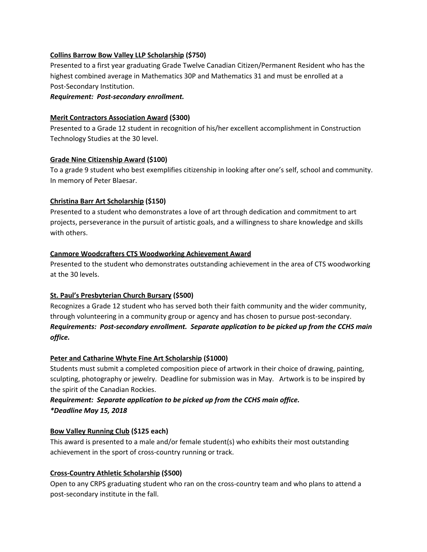#### **Collins Barrow Bow Valley LLP Scholarship (\$750)**

Presented to a first year graduating Grade Twelve Canadian Citizen/Permanent Resident who has the highest combined average in Mathematics 30P and Mathematics 31 and must be enrolled at a Post-Secondary Institution.

#### *Requirement: Post-secondary enrollment.*

#### **Merit Contractors Association Award (\$300)**

Presented to a Grade 12 student in recognition of his/her excellent accomplishment in Construction Technology Studies at the 30 level.

#### **Grade Nine Citizenship Award (\$100)**

To a grade 9 student who best exemplifies citizenship in looking after one's self, school and community. In memory of Peter Blaesar.

#### **Christina Barr Art Scholarship (\$150)**

Presented to a student who demonstrates a love of art through dedication and commitment to art projects, perseverance in the pursuit of artistic goals, and a willingness to share knowledge and skills with others.

#### **Canmore Woodcrafters CTS Woodworking Achievement Award**

Presented to the student who demonstrates outstanding achievement in the area of CTS woodworking at the 30 levels.

## **St. Paul's Presbyterian Church Bursary (\$500)**

Recognizes a Grade 12 student who has served both their faith community and the wider community, through volunteering in a community group or agency and has chosen to pursue post-secondary. *Requirements: Post-secondary enrollment. Separate application to be picked up from the CCHS main office.*

## **Peter and Catharine Whyte Fine Art Scholarship (\$1000)**

Students must submit a completed composition piece of artwork in their choice of drawing, painting, sculpting, photography or jewelry. Deadline for submission was in May. Artwork is to be inspired by the spirit of the Canadian Rockies.

# *Requirement: Separate application to be picked up from the CCHS main office. \*Deadline May 15, 2018*

## **Bow Valley Running Club (\$125 each)**

This award is presented to a male and/or female student(s) who exhibits their most outstanding achievement in the sport of cross-country running or track.

## **Cross-Country Athletic Scholarship (\$500)**

Open to any CRPS graduating student who ran on the cross-country team and who plans to attend a post-secondary institute in the fall.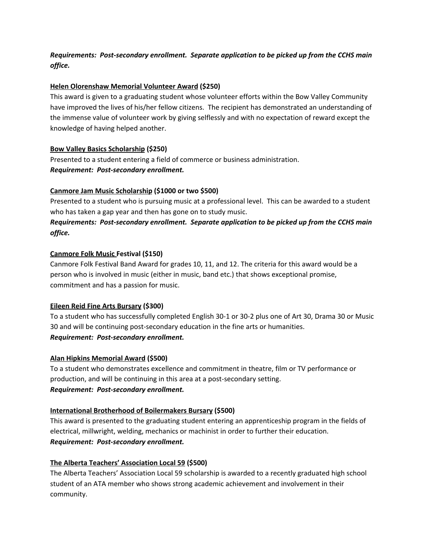*Requirements: Post-secondary enrollment. Separate application to be picked up from the CCHS main office.*

#### **Helen Olorenshaw Memorial Volunteer Award (\$250)**

This award is given to a graduating student whose volunteer efforts within the Bow Valley Community have improved the lives of his/her fellow citizens. The recipient has demonstrated an understanding of the immense value of volunteer work by giving selflessly and with no expectation of reward except the knowledge of having helped another.

#### **Bow Valley Basics Scholarship (\$250)**

Presented to a student entering a field of commerce or business administration. *Requirement: Post-secondary enrollment.*

## **Canmore Jam Music Scholarship (\$1000 or two \$500)**

Presented to a student who is pursuing music at a professional level. This can be awarded to a student who has taken a gap year and then has gone on to study music.

# *Requirements: Post-secondary enrollment. Separate application to be picked up from the CCHS main office.*

#### **Canmore Folk Music Festival (\$150)**

Canmore Folk Festival Band Award for grades 10, 11, and 12. The criteria for this award would be a person who is involved in music (either in music, band etc.) that shows exceptional promise, commitment and has a passion for music.

## **Eileen Reid Fine Arts Bursary (\$300)**

To a student who has successfully completed English 30-1 or 30-2 plus one of Art 30, Drama 30 or Music 30 and will be continuing post-secondary education in the fine arts or humanities. *Requirement: Post-secondary enrollment.*

#### **Alan Hipkins Memorial Award (\$500)**

To a student who demonstrates excellence and commitment in theatre, film or TV performance or production, and will be continuing in this area at a post-secondary setting. *Requirement: Post-secondary enrollment.*

## **International Brotherhood of Boilermakers Bursary (\$500)**

This award is presented to the graduating student entering an apprenticeship program in the fields of electrical, millwright, welding, mechanics or machinist in order to further their education. *Requirement: Post-secondary enrollment.*

#### **The Alberta Teachers' Association Local 59 (\$500)**

The Alberta Teachers' Association Local 59 scholarship is awarded to a recently graduated high school student of an ATA member who shows strong academic achievement and involvement in their community.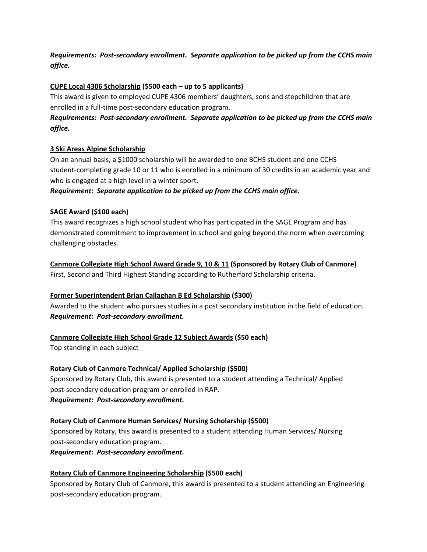*Requirements: Post-secondary enrollment. Separate application to be picked up from the CCHS main office.*

## **CUPE Local 4306 Scholarship (\$500 each – up to 5 applicants)**

This award is given to employed CUPE 4306 members' daughters, sons and stepchildren that are enrolled in a full-time post-secondary education program.

# *Requirements: Post-secondary enrollment. Separate application to be picked up from the CCHS main office.*

#### **3 Ski Areas Alpine Scholarship**

On an annual basis, a \$1000 scholarship will be awarded to one BCHS student and one CCHS student-completing grade 10 or 11 who is enrolled in a minimum of 30 credits in an academic year and who is engaged at a high level in a winter sport.

*Requirement: Separate application to be picked up from the CCHS main office.*

#### **SAGE Award (\$100 each)**

This award recognizes a high school student who has participated in the SAGE Program and has demonstrated commitment to improvement in school and going beyond the norm when overcoming challenging obstacles.

**Canmore Collegiate High School Award Grade 9, 10 & 11 (Sponsored by Rotary Club of Canmore)** First, Second and Third Highest Standing according to Rutherford Scholarship criteria.

## **Former Superintendent Brian Callaghan B Ed Scholarship (\$300)**

Awarded to the student who pursues studies in a post secondary institution in the field of education. *Requirement: Post-secondary enrollment.*

## **Canmore Collegiate High School Grade 12 Subject Awards (\$50 each)**

Top standing in each subject

## **Rotary Club of Canmore Technical/ Applied Scholarship (\$500)**

Sponsored by Rotary Club, this award is presented to a student attending a Technical/ Applied post-secondary education program or enrolled in RAP. *Requirement: Post-secondary enrollment.*

#### **Rotary Club of Canmore Human Services/ Nursing Scholarship (\$500)**

Sponsored by Rotary, this award is presented to a student attending Human Services/ Nursing post-secondary education program.

*Requirement: Post-secondary enrollment.*

## **Rotary Club of Canmore Engineering Scholarship (\$500 each)**

Sponsored by Rotary Club of Canmore, this award is presented to a student attending an Engineering post-secondary education program.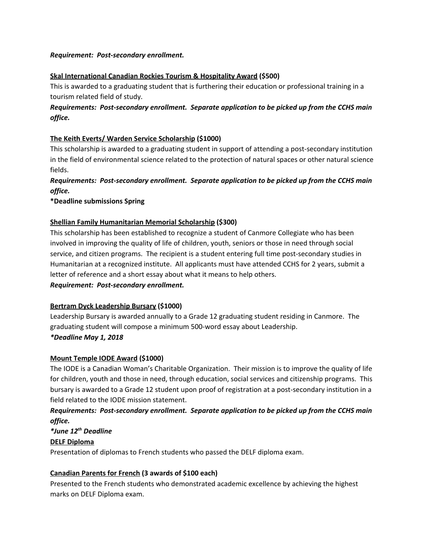#### *Requirement: Post-secondary enrollment.*

#### **Skal International Canadian Rockies Tourism & Hospitality Award (\$500)**

This is awarded to a graduating student that is furthering their education or professional training in a tourism related field of study.

# *Requirements: Post-secondary enrollment. Separate application to be picked up from the CCHS main office.*

#### **The Keith Everts/ Warden Service Scholarship (\$1000)**

This scholarship is awarded to a graduating student in support of attending a post-secondary institution in the field of environmental science related to the protection of natural spaces or other natural science fields.

# *Requirements: Post-secondary enrollment. Separate application to be picked up from the CCHS main office.*

**\*Deadline submissions Spring**

## **Shellian Family Humanitarian Memorial Scholarship (\$300)**

This scholarship has been established to recognize a student of Canmore Collegiate who has been involved in improving the quality of life of children, youth, seniors or those in need through social service, and citizen programs. The recipient is a student entering full time post-secondary studies in Humanitarian at a recognized institute. All applicants must have attended CCHS for 2 years, submit a letter of reference and a short essay about what it means to help others.

#### *Requirement: Post-secondary enrollment.*

## **Bertram Dyck Leadership Bursary (\$1000)**

Leadership Bursary is awarded annually to a Grade 12 graduating student residing in Canmore. The graduating student will compose a minimum 500-word essay about Leadership.

## *\*Deadline May 1, 2018*

## **Mount Temple IODE Award (\$1000)**

The IODE is a Canadian Woman's Charitable Organization. Their mission is to improve the quality of life for children, youth and those in need, through education, social services and citizenship programs. This bursary is awarded to a Grade 12 student upon proof of registration at a post-secondary institution in a field related to the IODE mission statement.

# *Requirements: Post-secondary enrollment. Separate application to be picked up from the CCHS main office.*

# *\*June 12 th Deadline* **DELF Diploma** Presentation of diplomas to French students who passed the DELF diploma exam.

# **Canadian Parents for French (3 awards of \$100 each)**

Presented to the French students who demonstrated academic excellence by achieving the highest marks on DELF Diploma exam.